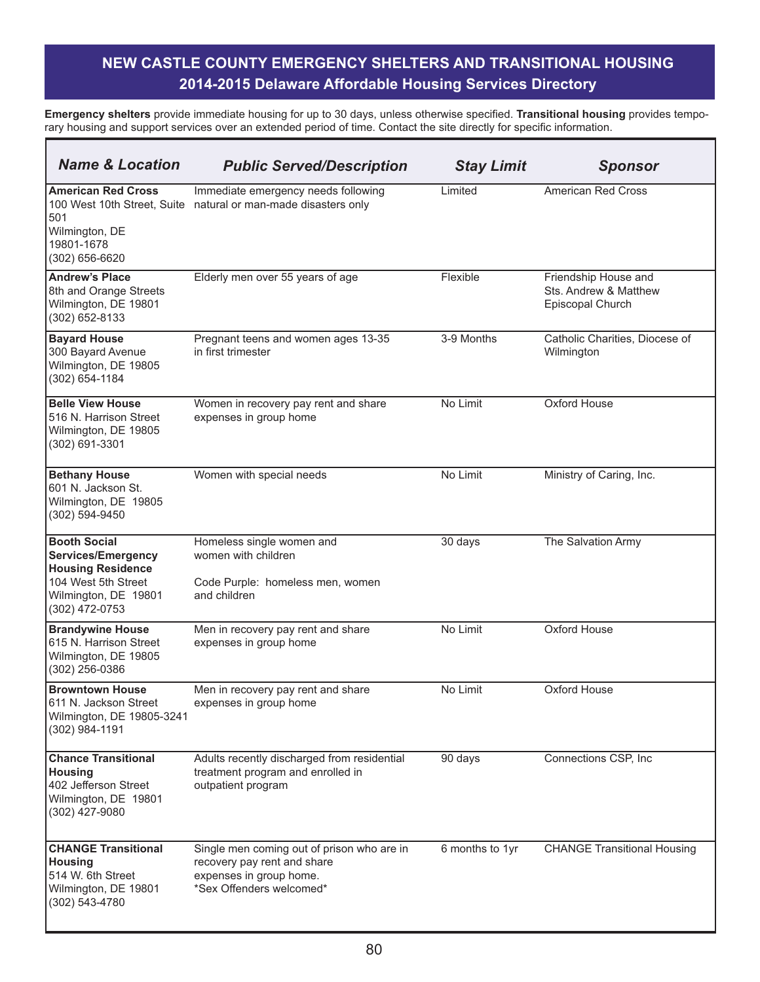| <b>Name &amp; Location</b>                                                                                                             | <b>Public Served/Description</b>                                                                                                 | <b>Stay Limit</b> | <b>Sponsor</b>                                                    |
|----------------------------------------------------------------------------------------------------------------------------------------|----------------------------------------------------------------------------------------------------------------------------------|-------------------|-------------------------------------------------------------------|
| <b>American Red Cross</b><br>100 West 10th Street, Suite<br>501<br>Wilmington, DE<br>19801-1678<br>(302) 656-6620                      | Immediate emergency needs following<br>natural or man-made disasters only                                                        | Limited           | <b>American Red Cross</b>                                         |
| <b>Andrew's Place</b><br>8th and Orange Streets<br>Wilmington, DE 19801<br>(302) 652-8133                                              | Elderly men over 55 years of age                                                                                                 | Flexible          | Friendship House and<br>Sts. Andrew & Matthew<br>Episcopal Church |
| <b>Bayard House</b><br>300 Bayard Avenue<br>Wilmington, DE 19805<br>(302) 654-1184                                                     | Pregnant teens and women ages 13-35<br>in first trimester                                                                        | 3-9 Months        | Catholic Charities, Diocese of<br>Wilmington                      |
| <b>Belle View House</b><br>1516 N. Harrison Street<br>Wilmington, DE 19805<br>(302) 691-3301                                           | Women in recovery pay rent and share<br>expenses in group home                                                                   | No Limit          | Oxford House                                                      |
| <b>Bethany House</b><br>601 N. Jackson St.<br>Wilmington, DE 19805<br>(302) 594-9450                                                   | Women with special needs                                                                                                         | No Limit          | Ministry of Caring, Inc.                                          |
| <b>Booth Social</b><br>Services/Emergency<br><b>Housing Residence</b><br>104 West 5th Street<br>Wilmington, DE 19801<br>(302) 472-0753 | Homeless single women and<br>women with children<br>Code Purple: homeless men, women<br>and children                             | 30 days           | The Salvation Army                                                |
| <b>Brandywine House</b><br>615 N. Harrison Street<br>Wilmington, DE 19805<br>(302) 256-0386                                            | Men in recovery pay rent and share<br>expenses in group home                                                                     | No Limit          | Oxford House                                                      |
| <b>Browntown House</b><br>611 N. Jackson Street<br>Wilmington, DE 19805-3241<br>$(302)$ 984-1191                                       | Men in recovery pay rent and share<br>expenses in group home                                                                     | No Limit          | Oxford House                                                      |
| <b>Chance Transitional</b><br><b>Housing</b><br>402 Jefferson Street<br>Wilmington, DE 19801<br>(302) 427-9080                         | Adults recently discharged from residential<br>treatment program and enrolled in<br>outpatient program                           | 90 days           | Connections CSP, Inc                                              |
| <b>CHANGE Transitional</b><br><b>Housing</b><br>514 W. 6th Street<br>Wilmington, DE 19801<br>(302) 543-4780                            | Single men coming out of prison who are in<br>recovery pay rent and share<br>expenses in group home.<br>*Sex Offenders welcomed* | 6 months to 1yr   | <b>CHANGE Transitional Housing</b>                                |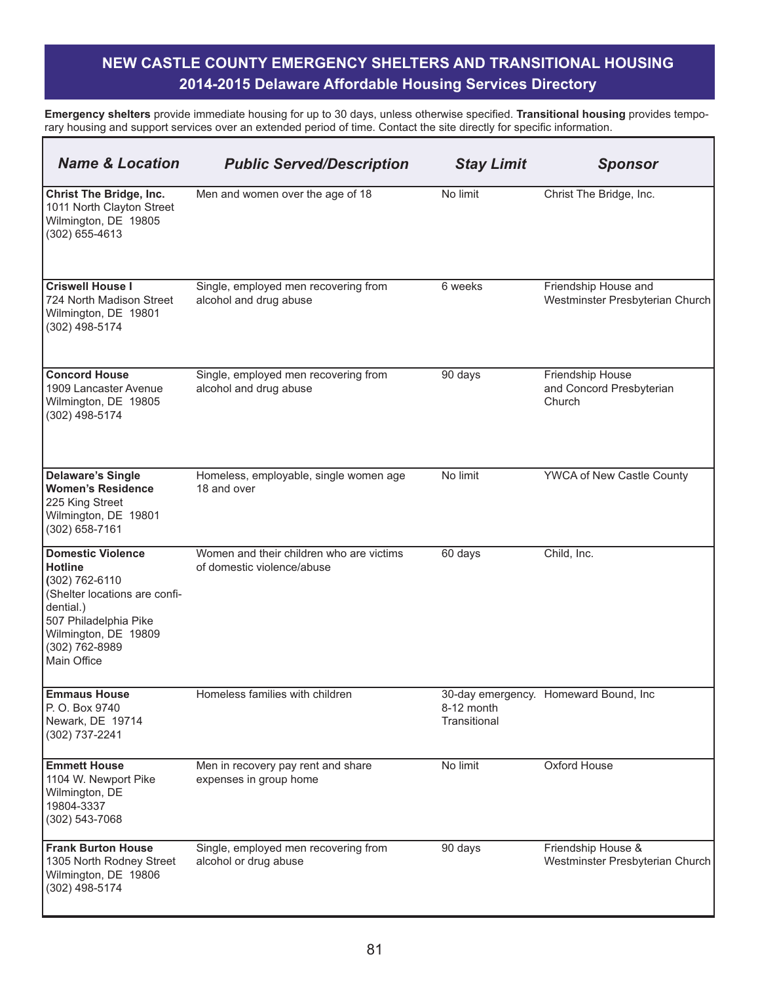| <b>Name &amp; Location</b>                                                                                                                                                                   | <b>Public Served/Description</b>                                       | <b>Stay Limit</b>          | <b>Sponsor</b>                                          |
|----------------------------------------------------------------------------------------------------------------------------------------------------------------------------------------------|------------------------------------------------------------------------|----------------------------|---------------------------------------------------------|
| <b>Christ The Bridge, Inc.</b><br>1011 North Clayton Street<br>Wilmington, DE 19805<br>(302) 655-4613                                                                                        | Men and women over the age of 18                                       | No limit                   | Christ The Bridge, Inc.                                 |
| <b>Criswell House I</b><br>724 North Madison Street<br>Wilmington, DE 19801<br>(302) 498-5174                                                                                                | Single, employed men recovering from<br>alcohol and drug abuse         | 6 weeks                    | Friendship House and<br>Westminster Presbyterian Church |
| <b>Concord House</b><br>1909 Lancaster Avenue<br>Wilmington, DE 19805<br>(302) 498-5174                                                                                                      | Single, employed men recovering from<br>alcohol and drug abuse         | 90 days                    | Friendship House<br>and Concord Presbyterian<br>Church  |
| <b>Delaware's Single</b><br><b>Women's Residence</b><br>225 King Street<br>Wilmington, DE 19801<br>(302) 658-7161                                                                            | Homeless, employable, single women age<br>18 and over                  | No limit                   | <b>YWCA of New Castle County</b>                        |
| <b>Domestic Violence</b><br><b>Hotline</b><br>(302) 762-6110<br>(Shelter locations are confi-<br>dential.)<br>507 Philadelphia Pike<br>Wilmington, DE 19809<br>(302) 762-8989<br>Main Office | Women and their children who are victims<br>of domestic violence/abuse | 60 days                    | Child, Inc.                                             |
| <b>Emmaus House</b><br>P. O. Box 9740<br>Newark, DE 19714<br>(302) 737-2241                                                                                                                  | Homeless families with children                                        | 8-12 month<br>Transitional | 30-day emergency. Homeward Bound, Inc                   |
| <b>Emmett House</b><br>1104 W. Newport Pike<br>Wilmington, DE<br>19804-3337<br>(302) 543-7068                                                                                                | Men in recovery pay rent and share<br>expenses in group home           | No limit                   | Oxford House                                            |
| <b>Frank Burton House</b><br>1305 North Rodney Street<br>Wilmington, DE 19806<br>(302) 498-5174                                                                                              | Single, employed men recovering from<br>alcohol or drug abuse          | 90 days                    | Friendship House &<br>Westminster Presbyterian Church   |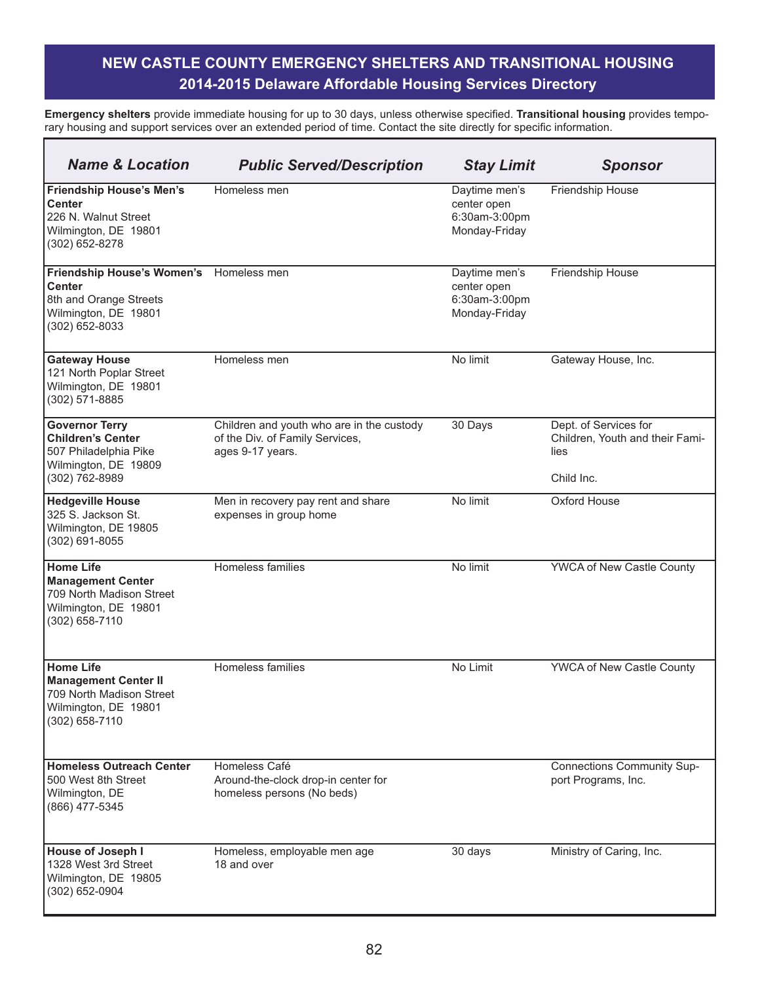| <b>Name &amp; Location</b>                                                                                             | <b>Public Served/Description</b>                                                                 | <b>Stay Limit</b>                                              | <b>Sponsor</b>                                                                 |
|------------------------------------------------------------------------------------------------------------------------|--------------------------------------------------------------------------------------------------|----------------------------------------------------------------|--------------------------------------------------------------------------------|
| <b>Friendship House's Men's</b><br><b>Center</b><br>226 N. Walnut Street<br>Wilmington, DE 19801<br>(302) 652-8278     | Homeless men                                                                                     | Daytime men's<br>center open<br>6:30am-3:00pm<br>Monday-Friday | Friendship House                                                               |
| <b>Friendship House's Women's</b><br><b>Center</b><br>8th and Orange Streets<br>Wilmington, DE 19801<br>(302) 652-8033 | Homeless men                                                                                     | Daytime men's<br>center open<br>6:30am-3:00pm<br>Monday-Friday | Friendship House                                                               |
| <b>Gateway House</b><br>121 North Poplar Street<br>Wilmington, DE 19801<br>(302) 571-8885                              | Homeless men                                                                                     | No limit                                                       | Gateway House, Inc.                                                            |
| <b>Governor Terry</b><br><b>Children's Center</b><br>507 Philadelphia Pike<br>Wilmington, DE 19809<br>(302) 762-8989   | Children and youth who are in the custody<br>of the Div. of Family Services,<br>ages 9-17 years. | 30 Days                                                        | Dept. of Services for<br>Children, Youth and their Fami-<br>lies<br>Child Inc. |
| <b>Hedgeville House</b><br>325 S. Jackson St.<br>Wilmington, DE 19805<br>(302) 691-8055                                | Men in recovery pay rent and share<br>expenses in group home                                     | No limit                                                       | Oxford House                                                                   |
| <b>Home Life</b><br><b>Management Center</b><br>709 North Madison Street<br>Wilmington, DE 19801<br>(302) 658-7110     | Homeless families                                                                                | No limit                                                       | <b>YWCA</b> of New Castle County                                               |
| <b>Home Life</b><br><b>Management Center II</b><br>709 North Madison Street<br>Wilmington, DE 19801<br>(302) 658-7110  | Homeless families                                                                                | No Limit                                                       | YWCA of New Castle County                                                      |
| <b>Homeless Outreach Center</b><br>500 West 8th Street<br>Wilmington, DE<br>(866) 477-5345                             | Homeless Café<br>Around-the-clock drop-in center for<br>homeless persons (No beds)               |                                                                | <b>Connections Community Sup-</b><br>port Programs, Inc.                       |
| House of Joseph I<br>1328 West 3rd Street<br>Wilmington, DE 19805<br>(302) 652-0904                                    | Homeless, employable men age<br>18 and over                                                      | 30 days                                                        | Ministry of Caring, Inc.                                                       |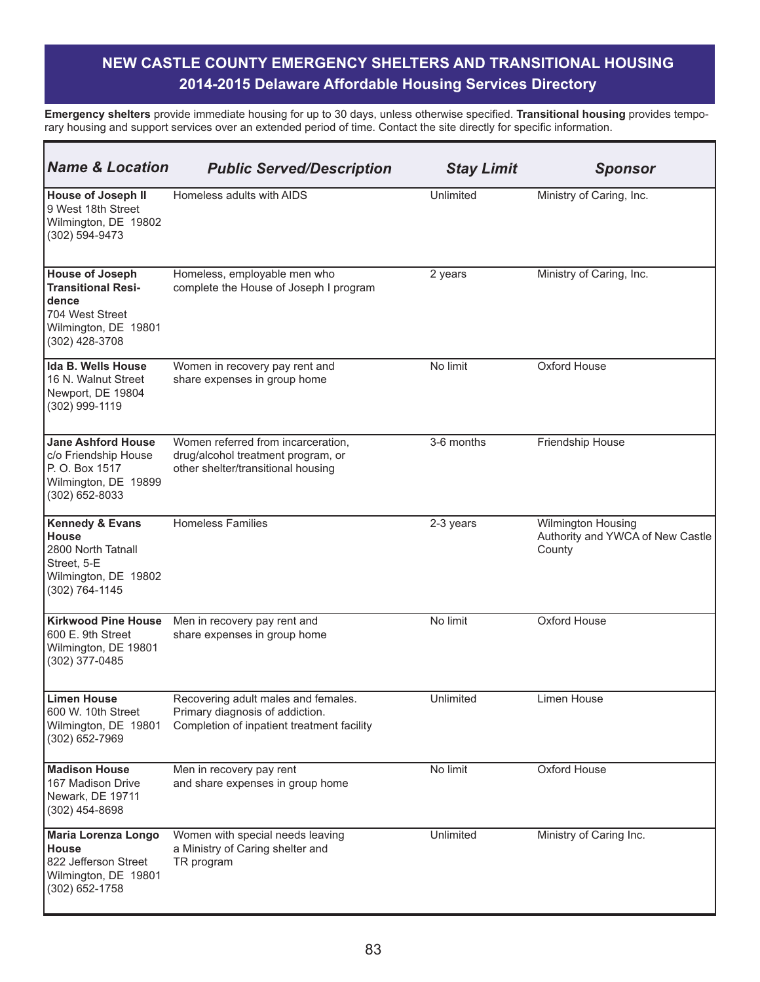| <b>Name &amp; Location</b>                                                                                                | <b>Public Served/Description</b>                                                                                     | <b>Stay Limit</b> | <b>Sponsor</b>                                                   |
|---------------------------------------------------------------------------------------------------------------------------|----------------------------------------------------------------------------------------------------------------------|-------------------|------------------------------------------------------------------|
| <b>House of Joseph II</b><br>9 West 18th Street<br>Wilmington, DE 19802<br>(302) 594-9473                                 | Homeless adults with AIDS                                                                                            | Unlimited         | Ministry of Caring, Inc.                                         |
| <b>House of Joseph</b><br><b>Transitional Resi-</b><br>dence<br>704 West Street<br>Wilmington, DE 19801<br>(302) 428-3708 | Homeless, employable men who<br>complete the House of Joseph I program                                               | 2 years           | Ministry of Caring, Inc.                                         |
| <b>Ida B. Wells House</b><br>16 N. Walnut Street<br>Newport, DE 19804<br>(302) 999-1119                                   | Women in recovery pay rent and<br>share expenses in group home                                                       | No limit          | Oxford House                                                     |
| <b>Jane Ashford House</b><br>c/o Friendship House<br>P. O. Box 1517<br>Wilmington, DE 19899<br>(302) 652-8033             | Women referred from incarceration,<br>drug/alcohol treatment program, or<br>other shelter/transitional housing       | 3-6 months        | Friendship House                                                 |
| <b>Kennedy &amp; Evans</b><br><b>House</b><br>2800 North Tatnall<br>Street, 5-E<br>Wilmington, DE 19802<br>(302) 764-1145 | <b>Homeless Families</b>                                                                                             | 2-3 years         | Wilmington Housing<br>Authority and YWCA of New Castle<br>County |
| <b>Kirkwood Pine House</b><br>600 E. 9th Street<br>Wilmington, DE 19801<br>(302) 377-0485                                 | Men in recovery pay rent and<br>share expenses in group home                                                         | No limit          | Oxford House                                                     |
| <b>Limen House</b><br>600 W. 10th Street<br>Wilmington, DE 19801<br>(302) 652-7969                                        | Recovering adult males and females.<br>Primary diagnosis of addiction.<br>Completion of inpatient treatment facility | Unlimited         | Limen House                                                      |
| <b>Madison House</b><br>167 Madison Drive<br>Newark, DE 19711<br>(302) 454-8698                                           | Men in recovery pay rent<br>and share expenses in group home                                                         | No limit          | <b>Oxford House</b>                                              |
| <b>Maria Lorenza Longo</b><br><b>House</b><br>822 Jefferson Street<br>Wilmington, DE 19801<br>(302) 652-1758              | Women with special needs leaving<br>a Ministry of Caring shelter and<br>TR program                                   | Unlimited         | Ministry of Caring Inc.                                          |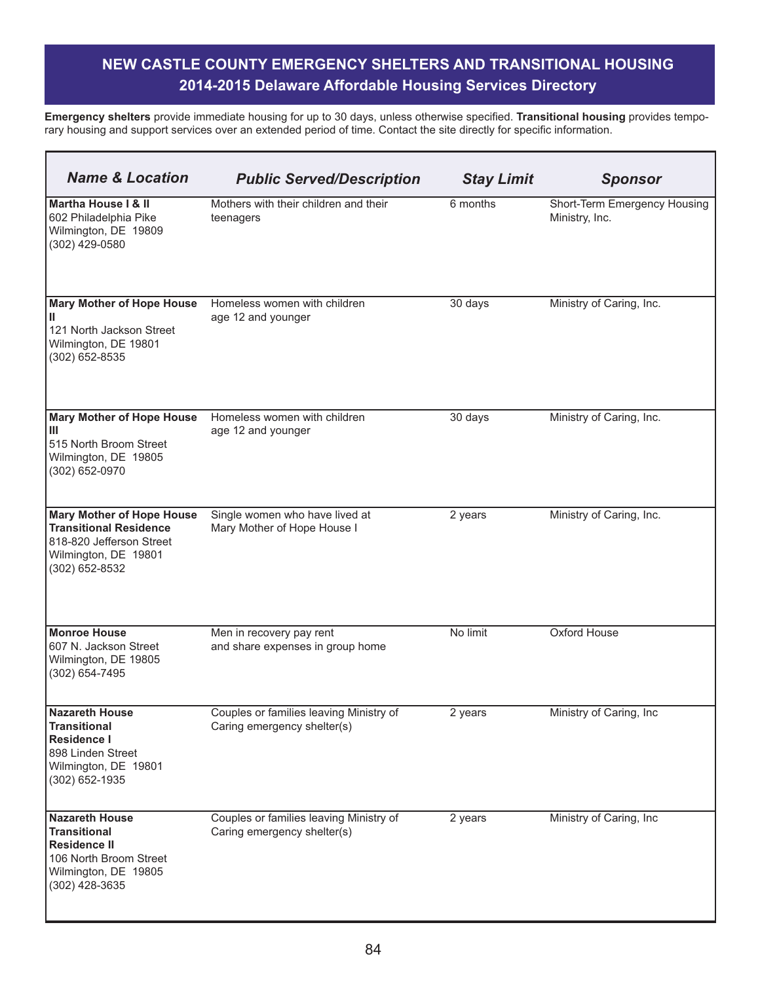| <b>Name &amp; Location</b>                                                                                                              | <b>Public Served/Description</b>                                       | <b>Stay Limit</b> | <b>Sponsor</b>                                 |
|-----------------------------------------------------------------------------------------------------------------------------------------|------------------------------------------------------------------------|-------------------|------------------------------------------------|
| Martha House I & II<br>602 Philadelphia Pike<br>Wilmington, DE 19809<br>(302) 429-0580                                                  | Mothers with their children and their<br>teenagers                     | 6 months          | Short-Term Emergency Housing<br>Ministry, Inc. |
| <b>Mary Mother of Hope House</b><br>Ш<br>121 North Jackson Street<br>Wilmington, DE 19801<br>(302) 652-8535                             | Homeless women with children<br>age 12 and younger                     | 30 days           | Ministry of Caring, Inc.                       |
| <b>Mary Mother of Hope House</b><br>Ш<br>515 North Broom Street<br>Wilmington, DE 19805<br>(302) 652-0970                               | Homeless women with children<br>age 12 and younger                     | 30 days           | Ministry of Caring, Inc.                       |
| <b>Mary Mother of Hope House</b><br><b>Transitional Residence</b><br>818-820 Jefferson Street<br>Wilmington, DE 19801<br>(302) 652-8532 | Single women who have lived at<br>Mary Mother of Hope House I          | 2 years           | Ministry of Caring, Inc.                       |
| <b>Monroe House</b><br>607 N. Jackson Street<br>Wilmington, DE 19805<br>(302) 654-7495                                                  | Men in recovery pay rent<br>and share expenses in group home           | No limit          | Oxford House                                   |
| <b>Nazareth House</b><br><b>Transitional</b><br><b>Residence I</b><br>898 Linden Street<br>Wilmington, DE 19801<br>(302) 652-1935       | Couples or families leaving Ministry of<br>Caring emergency shelter(s) | 2 years           | Ministry of Caring, Inc                        |
| <b>Nazareth House</b><br><b>Transitional</b><br><b>Residence II</b><br>106 North Broom Street<br>Wilmington, DE 19805<br>(302) 428-3635 | Couples or families leaving Ministry of<br>Caring emergency shelter(s) | 2 years           | Ministry of Caring, Inc                        |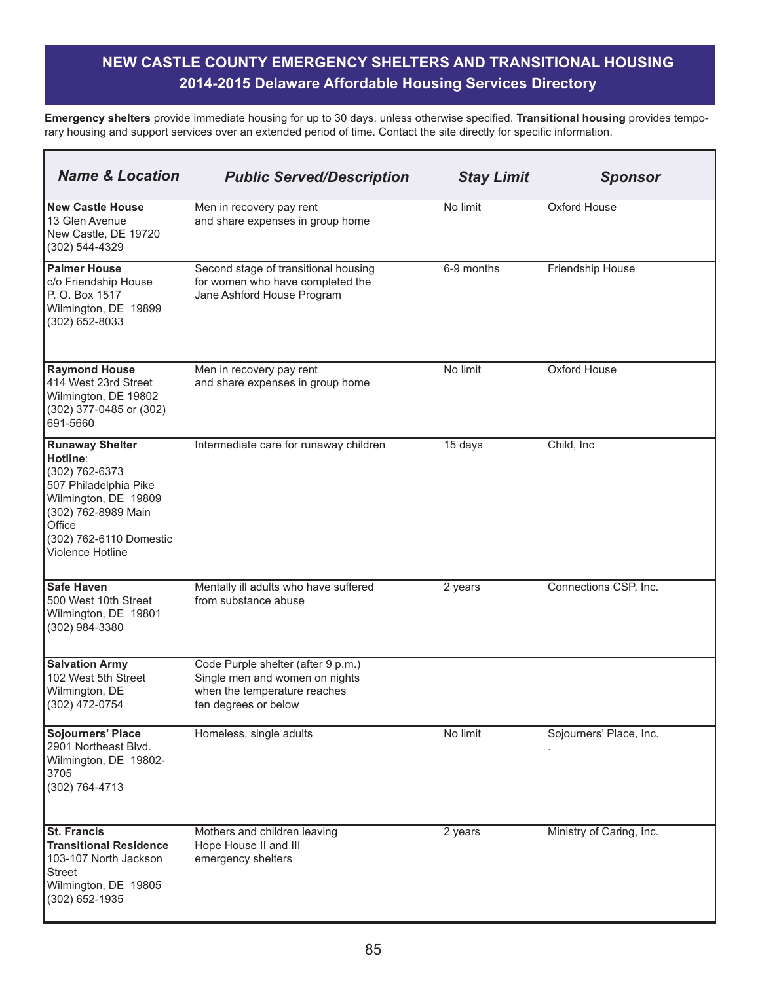| <b>Name &amp; Location</b>                                                                                                                                                            | <b>Public Served/Description</b>                                                                                             | <b>Stay Limit</b> | <b>Sponsor</b>           |
|---------------------------------------------------------------------------------------------------------------------------------------------------------------------------------------|------------------------------------------------------------------------------------------------------------------------------|-------------------|--------------------------|
| <b>New Castle House</b><br>13 Glen Avenue<br>New Castle, DE 19720<br>(302) 544-4329                                                                                                   | Men in recovery pay rent<br>and share expenses in group home                                                                 | No limit          | Oxford House             |
| <b>Palmer House</b><br>c/o Friendship House<br>P. O. Box 1517<br>Wilmington, DE 19899<br>(302) 652-8033                                                                               | Second stage of transitional housing<br>for women who have completed the<br>Jane Ashford House Program                       | 6-9 months        | Friendship House         |
| <b>Raymond House</b><br>414 West 23rd Street<br>Wilmington, DE 19802<br>(302) 377-0485 or (302)<br>691-5660                                                                           | Men in recovery pay rent<br>and share expenses in group home                                                                 | No limit          | Oxford House             |
| <b>Runaway Shelter</b><br>Hotline:<br>(302) 762-6373<br>507 Philadelphia Pike<br>Wilmington, DE 19809<br>(302) 762-8989 Main<br>Office<br>(302) 762-6110 Domestic<br>Violence Hotline | Intermediate care for runaway children                                                                                       | 15 days           | Child, Inc.              |
| <b>Safe Haven</b><br>500 West 10th Street<br>Wilmington, DE 19801<br>(302) 984-3380                                                                                                   | Mentally ill adults who have suffered<br>from substance abuse                                                                | 2 years           | Connections CSP, Inc.    |
| <b>Salvation Army</b><br>102 West 5th Street<br>Wilmington, DE<br>(302) 472-0754                                                                                                      | Code Purple shelter (after 9 p.m.)<br>Single men and women on nights<br>when the temperature reaches<br>ten degrees or below |                   |                          |
| <b>Sojourners' Place</b><br>2901 Northeast Blvd.<br>Wilmington, DE 19802-<br>3705<br>(302) 764-4713                                                                                   | Homeless, single adults                                                                                                      | No limit          | Sojourners' Place, Inc.  |
| <b>St. Francis</b><br><b>Transitional Residence</b><br>103-107 North Jackson<br><b>Street</b><br>Wilmington, DE 19805<br>(302) 652-1935                                               | Mothers and children leaving<br>Hope House II and III<br>emergency shelters                                                  | 2 years           | Ministry of Caring, Inc. |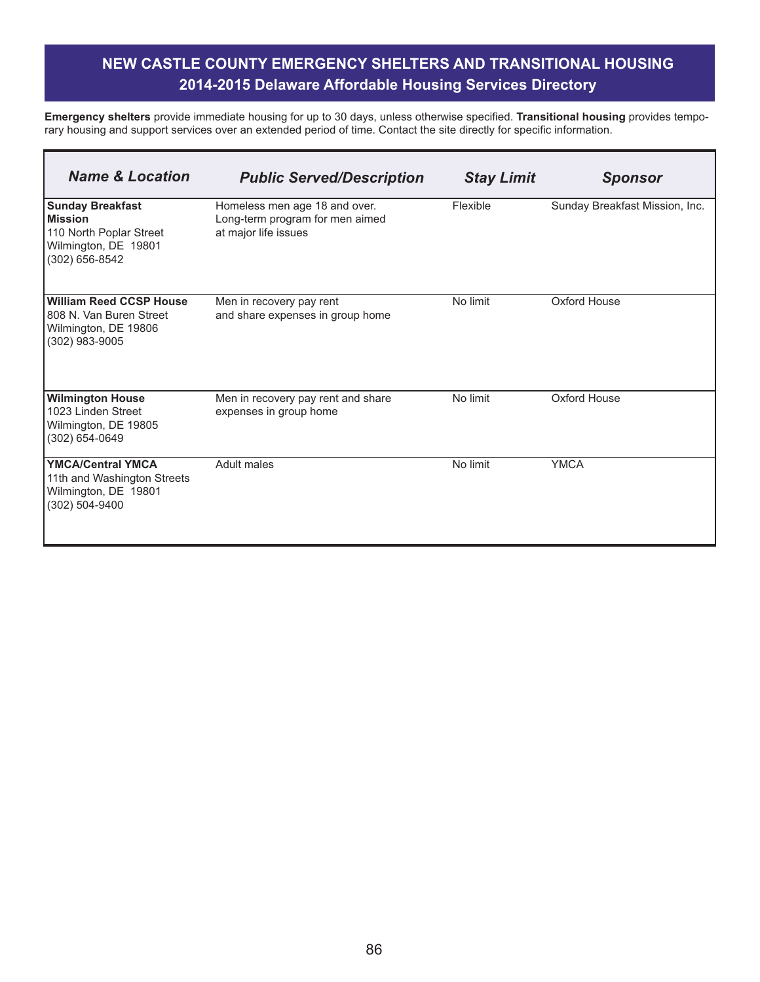٦

**Emergency shelters** provide immediate housing for up to 30 days, unless otherwise specified. **Transitional housing** provides temporary housing and support services over an extended period of time. Contact the site directly for specific information.

Г

| <b>Name &amp; Location</b>                                                                                     | <b>Public Served/Description</b>                                                         | <b>Stay Limit</b> | <b>Sponsor</b>                 |
|----------------------------------------------------------------------------------------------------------------|------------------------------------------------------------------------------------------|-------------------|--------------------------------|
| <b>Sunday Breakfast</b><br><b>Mission</b><br>110 North Poplar Street<br>Wilmington, DE 19801<br>(302) 656-8542 | Homeless men age 18 and over.<br>Long-term program for men aimed<br>at major life issues | Flexible          | Sunday Breakfast Mission, Inc. |
| <b>William Reed CCSP House</b><br>808 N. Van Buren Street<br>Wilmington, DE 19806<br>(302) 983-9005            | Men in recovery pay rent<br>and share expenses in group home                             | No limit          | Oxford House                   |
| <b>Wilmington House</b><br>1023 Linden Street<br>Wilmington, DE 19805<br>(302) 654-0649                        | Men in recovery pay rent and share<br>expenses in group home                             | No limit          | Oxford House                   |
| <b>YMCA/Central YMCA</b><br>11th and Washington Streets<br>Wilmington, DE 19801<br>(302) 504-9400              | <b>Adult males</b>                                                                       | No limit          | <b>YMCA</b>                    |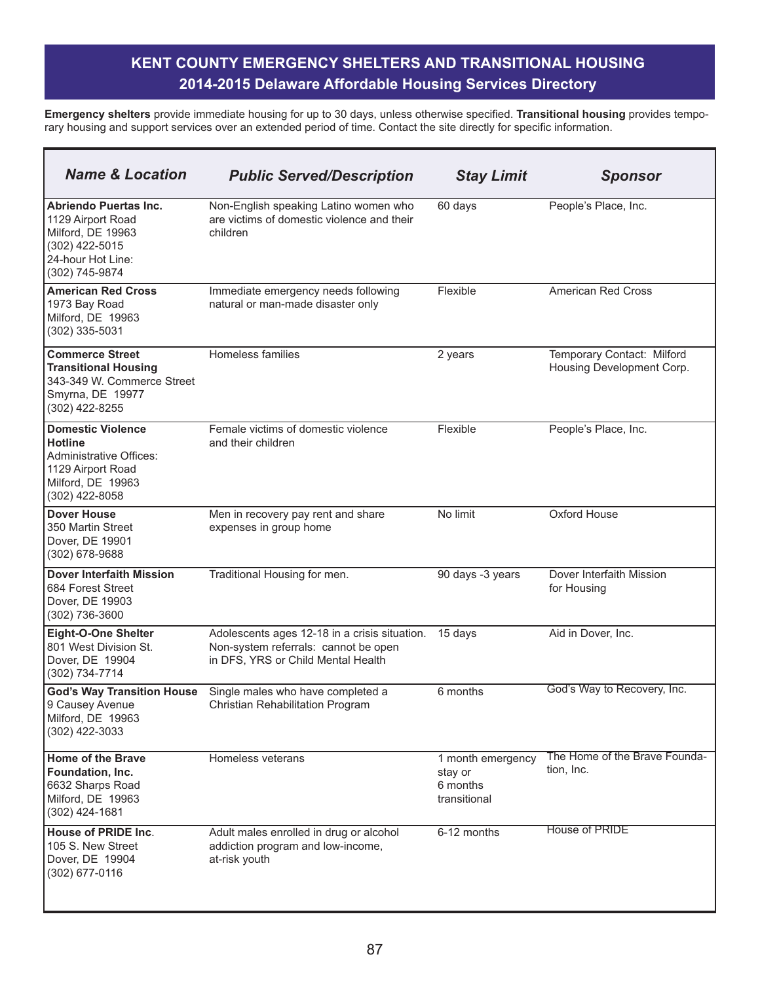| <b>Name &amp; Location</b>                                                                                                               | <b>Public Served/Description</b>                                                                                            | <b>Stay Limit</b>                                        | <b>Sponsor</b>                                          |
|------------------------------------------------------------------------------------------------------------------------------------------|-----------------------------------------------------------------------------------------------------------------------------|----------------------------------------------------------|---------------------------------------------------------|
| Abriendo Puertas Inc.<br>1129 Airport Road<br>Milford, DE 19963<br>(302) 422-5015<br>24-hour Hot Line:<br>(302) 745-9874                 | Non-English speaking Latino women who<br>are victims of domestic violence and their<br>children                             | 60 days                                                  | People's Place, Inc.                                    |
| <b>American Red Cross</b><br>1973 Bay Road<br>Milford, DE 19963<br>(302) 335-5031                                                        | Immediate emergency needs following<br>natural or man-made disaster only                                                    | Flexible                                                 | <b>American Red Cross</b>                               |
| <b>Commerce Street</b><br><b>Transitional Housing</b><br>343-349 W. Commerce Street<br>Smyrna, DE 19977<br>(302) 422-8255                | Homeless families                                                                                                           | 2 years                                                  | Temporary Contact: Milford<br>Housing Development Corp. |
| <b>Domestic Violence</b><br><b>Hotline</b><br><b>Administrative Offices:</b><br>1129 Airport Road<br>Milford, DE 19963<br>(302) 422-8058 | Female victims of domestic violence<br>and their children                                                                   | Flexible                                                 | People's Place, Inc.                                    |
| <b>Dover House</b><br>350 Martin Street<br>Dover, DE 19901<br>(302) 678-9688                                                             | Men in recovery pay rent and share<br>expenses in group home                                                                | No limit                                                 | Oxford House                                            |
| <b>Dover Interfaith Mission</b><br>684 Forest Street<br>Dover, DE 19903<br>(302) 736-3600                                                | Traditional Housing for men.                                                                                                | 90 days -3 years                                         | Dover Interfaith Mission<br>for Housing                 |
| <b>Eight-O-One Shelter</b><br>801 West Division St.<br>Dover, DE 19904<br>(302) 734-7714                                                 | Adolescents ages 12-18 in a crisis situation.<br>Non-system referrals: cannot be open<br>in DFS, YRS or Child Mental Health | 15 days                                                  | Aid in Dover, Inc.                                      |
| <b>God's Way Transition House</b><br>9 Causey Avenue<br>Milford, DE 19963<br>(302) 422-3033                                              | Single males who have completed a<br>Christian Rehabilitation Program                                                       | 6 months                                                 | God's Way to Recovery, Inc.                             |
| Home of the Brave<br>Foundation, Inc.<br>6632 Sharps Road<br>Milford, DE 19963<br>$(302)$ 424-1681                                       | Homeless veterans                                                                                                           | 1 month emergency<br>stay or<br>6 months<br>transitional | The Home of the Brave Founda-<br>tion, Inc.             |
| <b>House of PRIDE Inc.</b><br>105 S. New Street<br>Dover, DE 19904<br>(302) 677-0116                                                     | Adult males enrolled in drug or alcohol<br>addiction program and low-income,<br>at-risk youth                               | 6-12 months                                              | <b>House of PRIDE</b>                                   |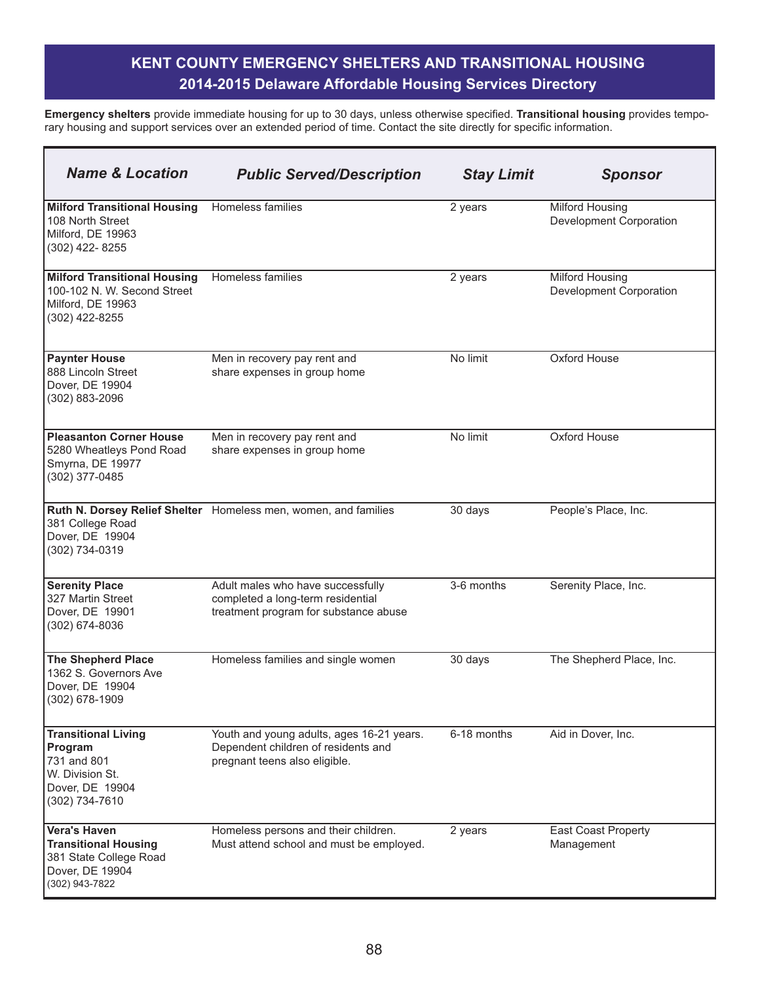| <b>Name &amp; Location</b>                                                                                        | <b>Public Served/Description</b>                                                                                  | <b>Stay Limit</b> | <b>Sponsor</b>                                    |
|-------------------------------------------------------------------------------------------------------------------|-------------------------------------------------------------------------------------------------------------------|-------------------|---------------------------------------------------|
| <b>Milford Transitional Housing</b><br>108 North Street<br>Milford, DE 19963<br>(302) 422-8255                    | Homeless families                                                                                                 | 2 years           | <b>Milford Housing</b><br>Development Corporation |
| <b>Milford Transitional Housing</b><br>100-102 N. W. Second Street<br>Milford, DE 19963<br>(302) 422-8255         | <b>Homeless families</b>                                                                                          | 2 years           | <b>Milford Housing</b><br>Development Corporation |
| <b>Paynter House</b><br>888 Lincoln Street<br>Dover, DE 19904<br>(302) 883-2096                                   | Men in recovery pay rent and<br>share expenses in group home                                                      | No limit          | Oxford House                                      |
| <b>Pleasanton Corner House</b><br>5280 Wheatleys Pond Road<br>Smyrna, DE 19977<br>(302) 377-0485                  | Men in recovery pay rent and<br>share expenses in group home                                                      | No limit          | Oxford House                                      |
| 381 College Road<br>Dover, DE 19904<br>(302) 734-0319                                                             | Ruth N. Dorsey Relief Shelter Homeless men, women, and families                                                   | 30 days           | People's Place, Inc.                              |
| <b>Serenity Place</b><br>327 Martin Street<br>Dover, DE 19901<br>(302) 674-8036                                   | Adult males who have successfully<br>completed a long-term residential<br>treatment program for substance abuse   | 3-6 months        | Serenity Place, Inc.                              |
| <b>The Shepherd Place</b><br>1362 S. Governors Ave<br>Dover, DE 19904<br>(302) 678-1909                           | Homeless families and single women                                                                                | 30 days           | The Shepherd Place, Inc.                          |
| <b>Transitional Living</b><br>Program<br>731 and 801<br>W. Division St.<br>Dover, DE 19904<br>(302) 734-7610      | Youth and young adults, ages 16-21 years.<br>Dependent children of residents and<br>pregnant teens also eligible. | 6-18 months       | Aid in Dover, Inc.                                |
| <b>Vera's Haven</b><br><b>Transitional Housing</b><br>381 State College Road<br>Dover, DE 19904<br>(302) 943-7822 | Homeless persons and their children.<br>Must attend school and must be employed.                                  | 2 years           | <b>East Coast Property</b><br>Management          |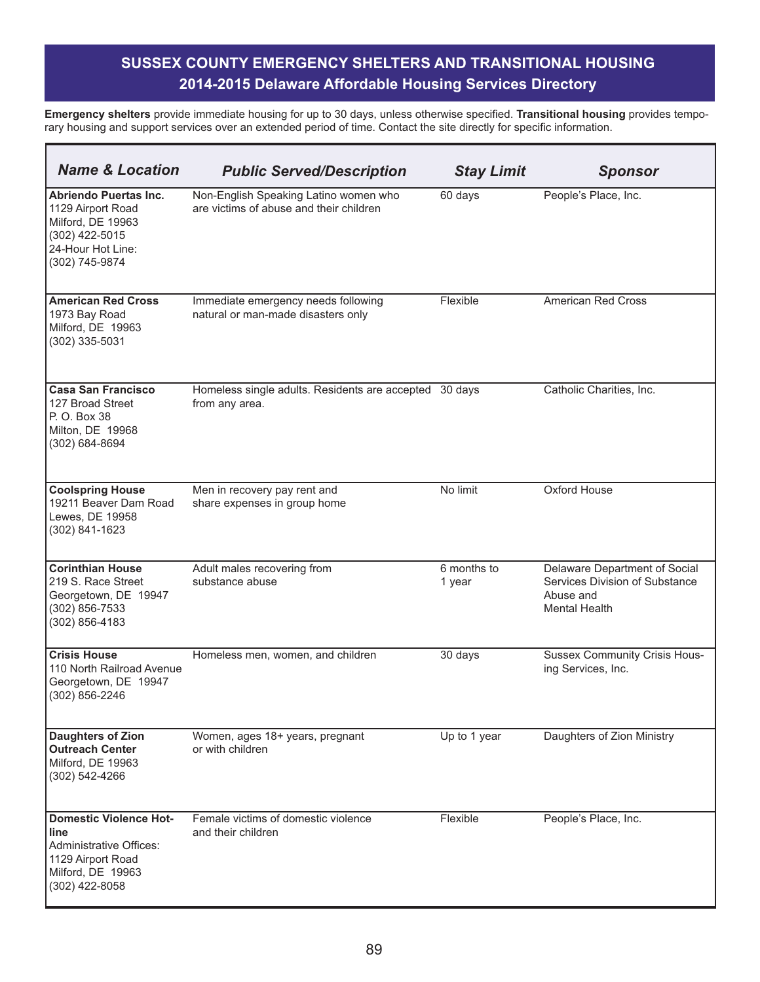| <b>Name &amp; Location</b>                                                                                                          | <b>Public Served/Description</b>                                                 | <b>Stay Limit</b>     | <b>Sponsor</b>                                                                                       |
|-------------------------------------------------------------------------------------------------------------------------------------|----------------------------------------------------------------------------------|-----------------------|------------------------------------------------------------------------------------------------------|
| <b>Abriendo Puertas Inc.</b><br>1129 Airport Road<br>Milford, DE 19963<br>(302) 422-5015<br>24-Hour Hot Line:<br>(302) 745-9874     | Non-English Speaking Latino women who<br>are victims of abuse and their children | 60 days               | People's Place, Inc.                                                                                 |
| <b>American Red Cross</b><br>1973 Bay Road<br>Milford, DE 19963<br>(302) 335-5031                                                   | Immediate emergency needs following<br>natural or man-made disasters only        | Flexible              | American Red Cross                                                                                   |
| <b>Casa San Francisco</b><br>127 Broad Street<br>P. O. Box 38<br>Milton, DE 19968<br>(302) 684-8694                                 | Homeless single adults. Residents are accepted 30 days<br>from any area.         |                       | Catholic Charities, Inc.                                                                             |
| <b>Coolspring House</b><br>19211 Beaver Dam Road<br>Lewes, DE 19958<br>(302) 841-1623                                               | Men in recovery pay rent and<br>share expenses in group home                     | No limit              | Oxford House                                                                                         |
| <b>Corinthian House</b><br>219 S. Race Street<br>Georgetown, DE 19947<br>$(302)$ 856-7533<br>(302) 856-4183                         | Adult males recovering from<br>substance abuse                                   | 6 months to<br>1 year | Delaware Department of Social<br>Services Division of Substance<br>Abuse and<br><b>Mental Health</b> |
| <b>Crisis House</b><br>110 North Railroad Avenue<br>Georgetown, DE 19947<br>(302) 856-2246                                          | Homeless men, women, and children                                                | 30 days               | <b>Sussex Community Crisis Hous-</b><br>ing Services, Inc.                                           |
| <b>Daughters of Zion</b><br><b>Outreach Center</b><br>Milford, DE 19963<br>(302) 542-4266                                           | Women, ages 18+ years, pregnant<br>or with children                              | Up to 1 year          | Daughters of Zion Ministry                                                                           |
| <b>Domestic Violence Hot-</b><br>line<br><b>Administrative Offices:</b><br>1129 Airport Road<br>Milford, DE 19963<br>(302) 422-8058 | Female victims of domestic violence<br>and their children                        | Flexible              | People's Place, Inc.                                                                                 |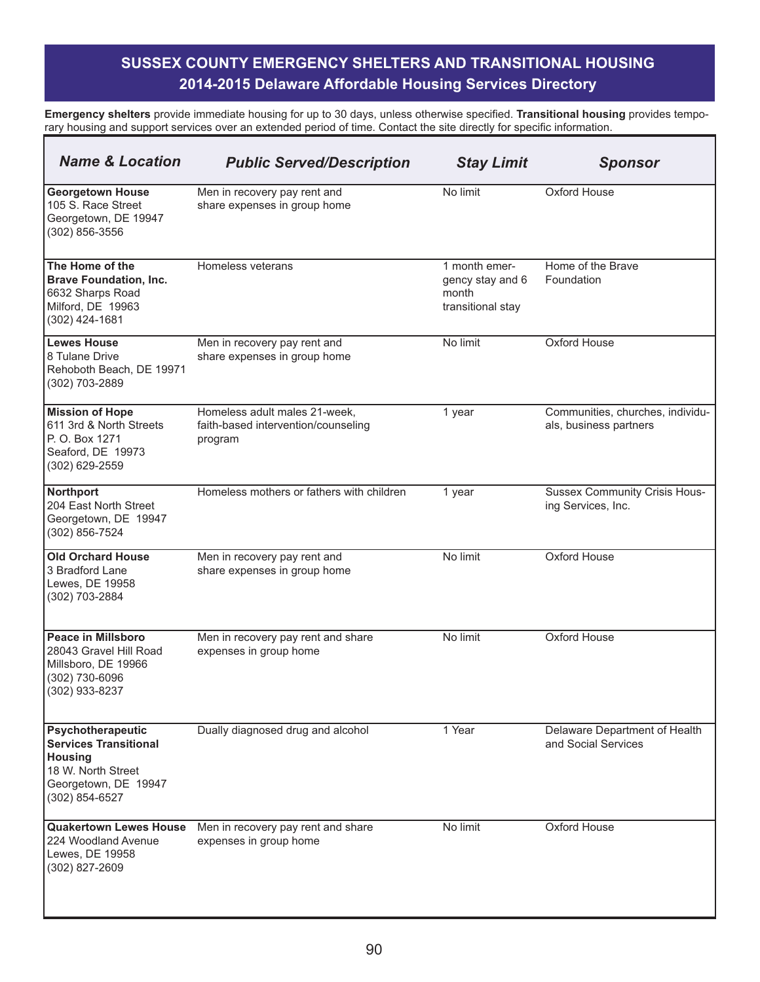| <b>Name &amp; Location</b>                                                                                                          | <b>Public Served/Description</b>                                                | <b>Stay Limit</b>                                               | <b>Sponsor</b>                                             |
|-------------------------------------------------------------------------------------------------------------------------------------|---------------------------------------------------------------------------------|-----------------------------------------------------------------|------------------------------------------------------------|
| <b>Georgetown House</b><br>105 S. Race Street<br>Georgetown, DE 19947<br>(302) 856-3556                                             | Men in recovery pay rent and<br>share expenses in group home                    | No limit                                                        | Oxford House                                               |
| The Home of the<br><b>Brave Foundation, Inc.</b><br>6632 Sharps Road<br>Milford, DE 19963<br>(302) 424-1681                         | Homeless veterans                                                               | 1 month emer-<br>gency stay and 6<br>month<br>transitional stay | Home of the Brave<br>Foundation                            |
| <b>Lewes House</b><br>8 Tulane Drive<br>Rehoboth Beach, DE 19971<br>(302) 703-2889                                                  | Men in recovery pay rent and<br>share expenses in group home                    | No limit                                                        | <b>Oxford House</b>                                        |
| <b>Mission of Hope</b><br>611 3rd & North Streets<br>P. O. Box 1271<br>Seaford, DE 19973<br>(302) 629-2559                          | Homeless adult males 21-week,<br>faith-based intervention/counseling<br>program | 1 year                                                          | Communities, churches, individu-<br>als, business partners |
| Northport<br>204 East North Street<br>Georgetown, DE 19947<br>$(302)$ 856-7524                                                      | Homeless mothers or fathers with children                                       | 1 year                                                          | <b>Sussex Community Crisis Hous-</b><br>ing Services, Inc. |
| <b>Old Orchard House</b><br>3 Bradford Lane<br>Lewes, DE 19958<br>(302) 703-2884                                                    | Men in recovery pay rent and<br>share expenses in group home                    | No limit                                                        | Oxford House                                               |
| Peace in Millsboro<br>28043 Gravel Hill Road<br>Millsboro, DE 19966<br>(302) 730-6096<br>(302) 933-8237                             | Men in recovery pay rent and share<br>expenses in group home                    | No limit                                                        | Oxford House                                               |
| <b>Psychotherapeutic</b><br><b>Services Transitional</b><br>Housing<br>18 W. North Street<br>Georgetown, DE 19947<br>(302) 854-6527 | Dually diagnosed drug and alcohol                                               | 1 Year                                                          | Delaware Department of Health<br>and Social Services       |
| <b>Quakertown Lewes House</b><br>224 Woodland Avenue<br>Lewes, DE 19958<br>(302) 827-2609                                           | Men in recovery pay rent and share<br>expenses in group home                    | No limit                                                        | Oxford House                                               |